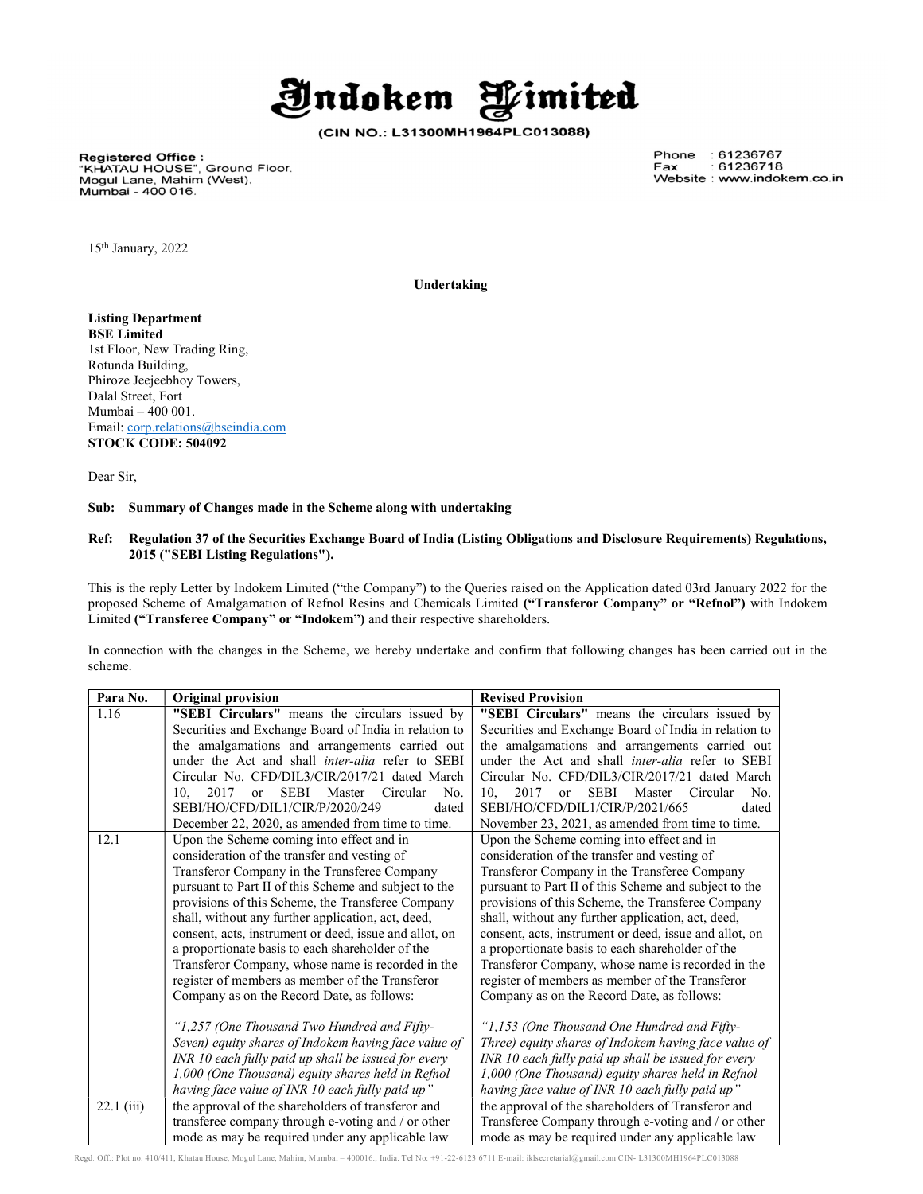

(CIN NO.: L31300MH1964PLC013088)

**Registered Office :**<br>"KHATAU HOUSE", Ground Floor.<br>Mogul Lane, Mahim (West). Mumbai - 400 016.

Phone : 61236767 Fax : 61236718 Website : www.indokem.co.in

15th January, 2022

Undertaking

Listing Department BSE Limited 1st Floor, New Trading Ring, Rotunda Building, Phiroze Jeejeebhoy Towers, Dalal Street, Fort Mumbai – 400 001. Email: corp.relations@bseindia.com STOCK CODE: 504092

Dear Sir,

## Sub: Summary of Changes made in the Scheme along with undertaking

#### Ref: Regulation 37 of the Securities Exchange Board of India (Listing Obligations and Disclosure Requirements) Regulations, 2015 ("SEBI Listing Regulations").

This is the reply Letter by Indokem Limited ("the Company") to the Queries raised on the Application dated 03rd January 2022 for the proposed Scheme of Amalgamation of Refnol Resins and Chemicals Limited ("Transferor Company" or "Refnol") with Indokem Limited ("Transferee Company" or "Indokem") and their respective shareholders.

In connection with the changes in the Scheme, we hereby undertake and confirm that following changes has been carried out in the scheme.

| Para No.     | <b>Original provision</b>                                            | <b>Revised Provision</b>                                                 |
|--------------|----------------------------------------------------------------------|--------------------------------------------------------------------------|
| 1.16         | "SEBI Circulars" means the circulars issued by                       | "SEBI Circulars" means the circulars issued by                           |
|              | Securities and Exchange Board of India in relation to                | Securities and Exchange Board of India in relation to                    |
|              | the amalgamations and arrangements carried out                       | the amalgamations and arrangements carried out                           |
|              | under the Act and shall <i>inter-alia</i> refer to SEBI              | under the Act and shall <i>inter-alia</i> refer to SEBI                  |
|              | Circular No. CFD/DIL3/CIR/2017/21 dated March                        | Circular No. CFD/DIL3/CIR/2017/21 dated March                            |
|              | 2017<br>10.<br><b>SEBI</b><br>Master<br>Circular<br>No.<br><b>or</b> | 2017<br><b>SEBI</b><br>10.<br>Master<br>No.<br>Circular<br><sub>or</sub> |
|              | SEBI/HO/CFD/DIL1/CIR/P/2020/249<br>dated                             | SEBI/HO/CFD/DIL1/CIR/P/2021/665<br>dated                                 |
|              | December 22, 2020, as amended from time to time.                     | November 23, 2021, as amended from time to time.                         |
| 12.1         | Upon the Scheme coming into effect and in                            | Upon the Scheme coming into effect and in                                |
|              | consideration of the transfer and vesting of                         | consideration of the transfer and vesting of                             |
|              | Transferor Company in the Transferee Company                         | Transferor Company in the Transferee Company                             |
|              | pursuant to Part II of this Scheme and subject to the                | pursuant to Part II of this Scheme and subject to the                    |
|              | provisions of this Scheme, the Transferee Company                    | provisions of this Scheme, the Transferee Company                        |
|              | shall, without any further application, act, deed,                   | shall, without any further application, act, deed,                       |
|              | consent, acts, instrument or deed, issue and allot, on               | consent, acts, instrument or deed, issue and allot, on                   |
|              | a proportionate basis to each shareholder of the                     | a proportionate basis to each shareholder of the                         |
|              | Transferor Company, whose name is recorded in the                    | Transferor Company, whose name is recorded in the                        |
|              | register of members as member of the Transferor                      | register of members as member of the Transferor                          |
|              | Company as on the Record Date, as follows:                           | Company as on the Record Date, as follows:                               |
|              |                                                                      |                                                                          |
|              | "1,257 (One Thousand Two Hundred and Fifty-                          | "1,153 (One Thousand One Hundred and Fifty-                              |
|              | Seven) equity shares of Indokem having face value of                 | Three) equity shares of Indokem having face value of                     |
|              | INR 10 each fully paid up shall be issued for every                  | INR 10 each fully paid up shall be issued for every                      |
|              | 1,000 (One Thousand) equity shares held in Refnol                    | 1,000 (One Thousand) equity shares held in Refnol                        |
|              | having face value of INR 10 each fully paid up"                      | having face value of INR 10 each fully paid up"                          |
| $22.1$ (iii) | the approval of the shareholders of transferor and                   | the approval of the shareholders of Transferor and                       |
|              | transferee company through e-voting and / or other                   | Transferee Company through e-voting and / or other                       |
|              | mode as may be required under any applicable law                     | mode as may be required under any applicable law                         |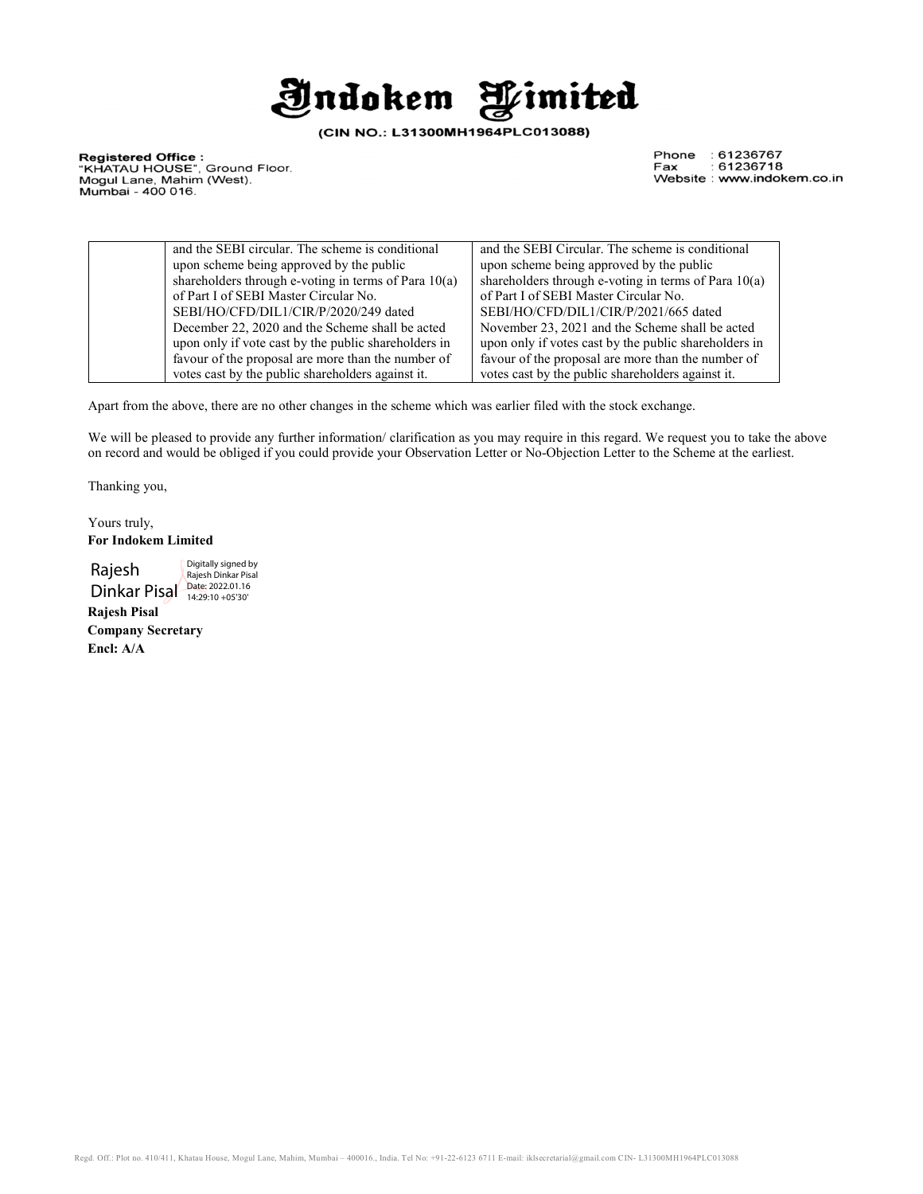

(CIN NO.: L31300MH1964PLC013088)

**Registered Office :**<br>"KHATAU HOUSE", Ground Floor.<br>Mogul Lane, Mahim (West). Mumbai - 400 016.

Phone : 61236767 Fax : 61236718 Website : www.indokem.co.in

| and the SEBI circular. The scheme is conditional       | and the SEBI Circular. The scheme is conditional       |
|--------------------------------------------------------|--------------------------------------------------------|
| upon scheme being approved by the public               | upon scheme being approved by the public               |
| shareholders through e-voting in terms of Para $10(a)$ | shareholders through e-voting in terms of Para $10(a)$ |
| of Part I of SEBI Master Circular No.                  | of Part I of SEBI Master Circular No.                  |
| SEBI/HO/CFD/DIL1/CIR/P/2020/249 dated                  | SEBI/HO/CFD/DIL1/CIR/P/2021/665 dated                  |
| December 22, 2020 and the Scheme shall be acted        | November 23, 2021 and the Scheme shall be acted        |
| upon only if vote cast by the public shareholders in   | upon only if votes cast by the public shareholders in  |
| favour of the proposal are more than the number of     | favour of the proposal are more than the number of     |
| votes cast by the public shareholders against it.      | votes cast by the public shareholders against it.      |

Apart from the above, there are no other changes in the scheme which was earlier filed with the stock exchange.

We will be pleased to provide any further information/ clarification as you may require in this regard. We request you to take the above on record and would be obliged if you could provide your Observation Letter or No-Objection Letter to the Scheme at the earliest.

Thanking you,

Yours truly, For Indokem Limited

 Rajesh Rajesh Dinkar Pisal<br>Dinkar Pisal **Date: 2022.01.16** Digitally signed by

Rajesh Pisal Company Secretary

Encl: A/A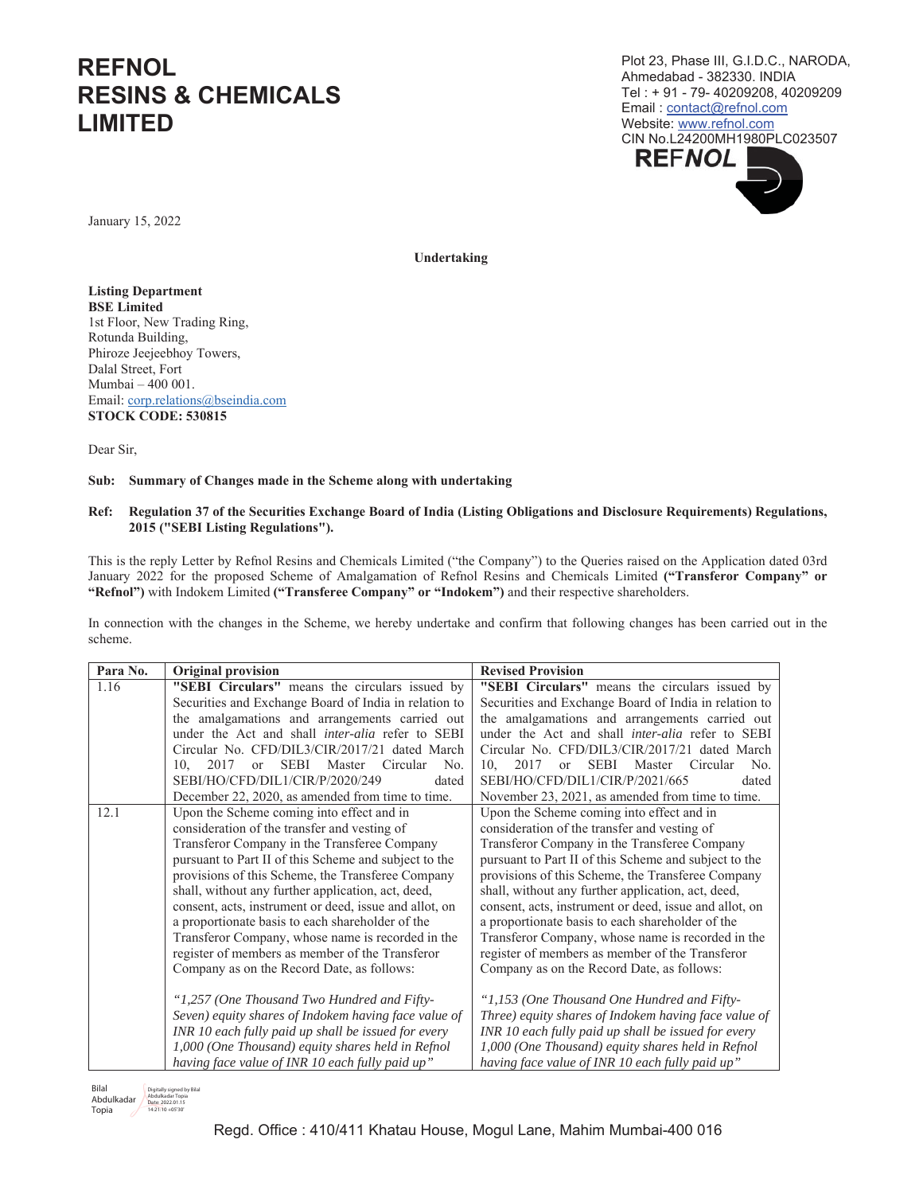# **REFNOL RESINS & CHEMICALS LIMITED**

Plot 23. Phase III, G.I.D.C., NARODA. Ahmedabad - 382330. INDIA Tel: + 91 - 79- 40209208, 40209209 Email: contact@refnol.com Website: www.refnol.com CIN No.L24200MH1980PLC023507 **REFNOL** 

January 15, 2022

Undertaking

**Listing Department BSE** Limited 1st Floor, New Trading Ring, Rotunda Building, Phiroze Jeejeebhoy Towers, Dalal Street, Fort Mumbai - 400 001. Email: corp.relations@bseindia.com **STOCK CODE: 530815** 

Dear Sir,

## Sub: Summary of Changes made in the Scheme along with undertaking

### Ref: Regulation 37 of the Securities Exchange Board of India (Listing Obligations and Disclosure Requirements) Regulations, 2015 ("SEBI Listing Regulations").

This is the reply Letter by Refnol Resins and Chemicals Limited ("the Company") to the Queries raised on the Application dated 03rd January 2022 for the proposed Scheme of Amalgamation of Refnol Resins and Chemicals Limited ("Transferor Company" or "Refinol") with Indokem Limited ("Transferee Company" or "Indokem") and their respective shareholders.

In connection with the changes in the Scheme, we hereby undertake and confirm that following changes has been carried out in the scheme.

| Para No. | <b>Original provision</b>                                             | <b>Revised Provision</b>                                              |
|----------|-----------------------------------------------------------------------|-----------------------------------------------------------------------|
| 1.16     | "SEBI Circulars" means the circulars issued by                        | "SEBI Circulars" means the circulars issued by                        |
|          | Securities and Exchange Board of India in relation to                 | Securities and Exchange Board of India in relation to                 |
|          | the amalgamations and arrangements carried out                        | the amalgamations and arrangements carried out                        |
|          | under the Act and shall inter-alia refer to SEBI                      | under the Act and shall <i>inter-alia</i> refer to SEBI               |
|          | Circular No. CFD/DIL3/CIR/2017/21 dated March                         | Circular No. CFD/DIL3/CIR/2017/21 dated March                         |
|          | <b>SEBI</b><br>Master Circular<br>2017<br>No.<br>10.<br><sub>or</sub> | <b>SEBI</b><br>Master Circular<br>10.<br>2017<br>No.<br><sub>or</sub> |
|          | SEBI/HO/CFD/DIL1/CIR/P/2020/249<br>dated                              | SEBI/HO/CFD/DIL1/CIR/P/2021/665<br>dated                              |
|          | December 22, 2020, as amended from time to time.                      | November 23, 2021, as amended from time to time.                      |
| 12.1     | Upon the Scheme coming into effect and in                             | Upon the Scheme coming into effect and in                             |
|          | consideration of the transfer and vesting of                          | consideration of the transfer and vesting of                          |
|          | Transferor Company in the Transferee Company                          | Transferor Company in the Transferee Company                          |
|          | pursuant to Part II of this Scheme and subject to the                 | pursuant to Part II of this Scheme and subject to the                 |
|          | provisions of this Scheme, the Transferee Company                     | provisions of this Scheme, the Transferee Company                     |
|          | shall, without any further application, act, deed,                    | shall, without any further application, act, deed,                    |
|          | consent, acts, instrument or deed, issue and allot, on                | consent, acts, instrument or deed, issue and allot, on                |
|          | a proportionate basis to each shareholder of the                      | a proportionate basis to each shareholder of the                      |
|          | Transferor Company, whose name is recorded in the                     | Transferor Company, whose name is recorded in the                     |
|          | register of members as member of the Transferor                       | register of members as member of the Transferor                       |
|          | Company as on the Record Date, as follows:                            | Company as on the Record Date, as follows:                            |
|          |                                                                       |                                                                       |
|          | "1,257 (One Thousand Two Hundred and Fifty-                           | "1,153 (One Thousand One Hundred and Fifty-                           |
|          | Seven) equity shares of Indokem having face value of                  | Three) equity shares of Indokem having face value of                  |
|          | INR 10 each fully paid up shall be issued for every                   | INR 10 each fully paid up shall be issued for every                   |
|          | 1,000 (One Thousand) equity shares held in Refnol                     | 1,000 (One Thousand) equity shares held in Refnol                     |
|          | having face value of INR 10 each fully paid up"                       | having face value of INR 10 each fully paid up"                       |

Bilal Dirain Magnetian Magnetics 2022.01.18<br>Abdulkadar Mater.2022.01.18<br>Temin 14:21:10 405:30 Topia